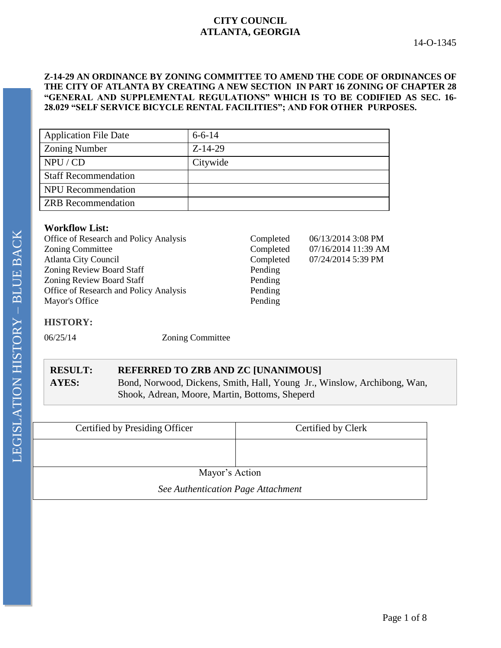# **CITY COUNCIL ATLANTA, GEORGIA**

### **Z-14-29 AN ORDINANCE BY ZONING COMMITTEE TO AMEND THE CODE OF ORDINANCES OF THE CITY OF ATLANTA BY CREATING A NEW SECTION IN PART 16 ZONING OF CHAPTER 28 "GENERAL AND SUPPLEMENTAL REGULATIONS" WHICH IS TO BE CODIFIED AS SEC. 16- 28.029 "SELF SERVICE BICYCLE RENTAL FACILITIES"; AND FOR OTHER PURPOSES.**

| <b>Application File Date</b> | $6 - 6 - 14$ |
|------------------------------|--------------|
| <b>Zoning Number</b>         | $Z-14-29$    |
| NPU / CD                     | Citywide     |
| <b>Staff Recommendation</b>  |              |
| <b>NPU</b> Recommendation    |              |
| <b>ZRB</b> Recommendation    |              |

## **Workflow List:**

| Office of Research and Policy Analysis | Completed | 06/13/2014 3:08 PM  |
|----------------------------------------|-----------|---------------------|
| <b>Zoning Committee</b>                | Completed | 07/16/2014 11:39 AM |
| <b>Atlanta City Council</b>            | Completed | 07/24/2014 5:39 PM  |
| <b>Zoning Review Board Staff</b>       | Pending   |                     |
| <b>Zoning Review Board Staff</b>       | Pending   |                     |
| Office of Research and Policy Analysis | Pending   |                     |
| Mayor's Office                         | Pending   |                     |
|                                        |           |                     |
|                                        |           |                     |

# **HISTORY:**

06/25/14 Zoning Committee

# **RESULT: REFERRED TO ZRB AND ZC [UNANIMOUS]**

**AYES:** Bond, Norwood, Dickens, Smith, Hall, Young Jr., Winslow, Archibong, Wan, Shook, Adrean, Moore, Martin, Bottoms, Sheperd

| Certified by Presiding Officer     | Certified by Clerk |  |
|------------------------------------|--------------------|--|
|                                    |                    |  |
| Mayor's Action                     |                    |  |
| See Authentication Page Attachment |                    |  |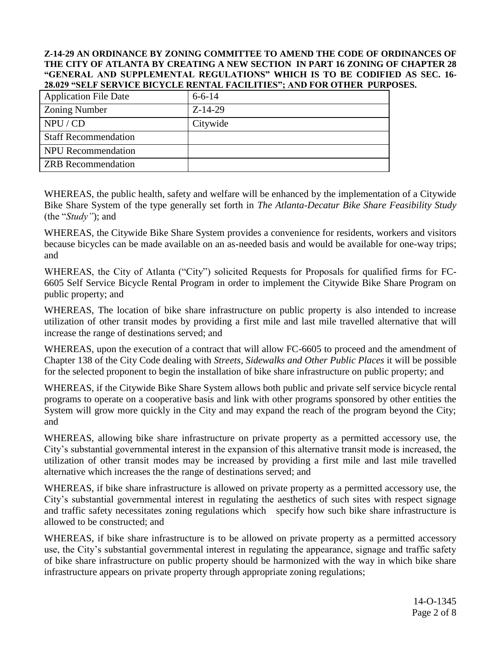### **Z-14-29 AN ORDINANCE BY ZONING COMMITTEE TO AMEND THE CODE OF ORDINANCES OF THE CITY OF ATLANTA BY CREATING A NEW SECTION IN PART 16 ZONING OF CHAPTER 28 "GENERAL AND SUPPLEMENTAL REGULATIONS" WHICH IS TO BE CODIFIED AS SEC. 16- 28.029 "SELF SERVICE BICYCLE RENTAL FACILITIES"; AND FOR OTHER PURPOSES.**

| <b>Application File Date</b> | $6 - 6 - 14$ |
|------------------------------|--------------|
| <b>Zoning Number</b>         | $Z-14-29$    |
| NPU / CD                     | Citywide     |
| <b>Staff Recommendation</b>  |              |
| <b>NPU</b> Recommendation    |              |
| <b>ZRB</b> Recommendation    |              |

WHEREAS, the public health, safety and welfare will be enhanced by the implementation of a Citywide Bike Share System of the type generally set forth in *The Atlanta-Decatur Bike Share Feasibility Study* (the "*Study"*); and

WHEREAS, the Citywide Bike Share System provides a convenience for residents, workers and visitors because bicycles can be made available on an as-needed basis and would be available for one-way trips; and

WHEREAS, the City of Atlanta ("City") solicited Requests for Proposals for qualified firms for FC-6605 Self Service Bicycle Rental Program in order to implement the Citywide Bike Share Program on public property; and

WHEREAS, The location of bike share infrastructure on public property is also intended to increase utilization of other transit modes by providing a first mile and last mile travelled alternative that will increase the range of destinations served; and

WHEREAS, upon the execution of a contract that will allow FC-6605 to proceed and the amendment of Chapter 138 of the City Code dealing with *Streets, Sidewalks and Other Public Places* it will be possible for the selected proponent to begin the installation of bike share infrastructure on public property; and

WHEREAS, if the Citywide Bike Share System allows both public and private self service bicycle rental programs to operate on a cooperative basis and link with other programs sponsored by other entities the System will grow more quickly in the City and may expand the reach of the program beyond the City; and

WHEREAS, allowing bike share infrastructure on private property as a permitted accessory use, the City's substantial governmental interest in the expansion of this alternative transit mode is increased, the utilization of other transit modes may be increased by providing a first mile and last mile travelled alternative which increases the the range of destinations served; and

WHEREAS, if bike share infrastructure is allowed on private property as a permitted accessory use, the City's substantial governmental interest in regulating the aesthetics of such sites with respect signage and traffic safety necessitates zoning regulations which specify how such bike share infrastructure is allowed to be constructed; and

WHEREAS, if bike share infrastructure is to be allowed on private property as a permitted accessory use, the City's substantial governmental interest in regulating the appearance, signage and traffic safety of bike share infrastructure on public property should be harmonized with the way in which bike share infrastructure appears on private property through appropriate zoning regulations;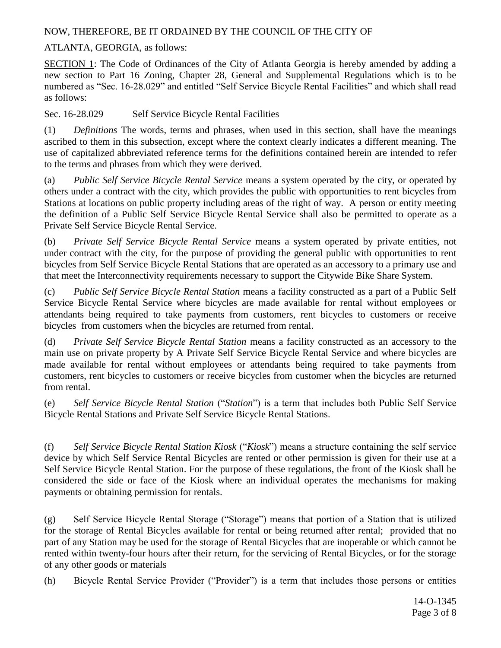NOW, THEREFORE, BE IT ORDAINED BY THE COUNCIL OF THE CITY OF

ATLANTA, GEORGIA, as follows:

SECTION 1: The Code of Ordinances of the City of Atlanta Georgia is hereby amended by adding a new section to Part 16 Zoning, Chapter 28, General and Supplemental Regulations which is to be numbered as "Sec. 16-28.029" and entitled "Self Service Bicycle Rental Facilities" and which shall read as follows:

Sec. 16-28.029 Self Service Bicycle Rental Facilities

(1) *Definitions* The words, terms and phrases, when used in this section, shall have the meanings ascribed to them in this subsection, except where the context clearly indicates a different meaning. The use of capitalized abbreviated reference terms for the definitions contained herein are intended to refer to the terms and phrases from which they were derived.

(a) *Public Self Service Bicycle Rental Service* means a system operated by the city, or operated by others under a contract with the city, which provides the public with opportunities to rent bicycles from Stations at locations on public property including areas of the right of way. A person or entity meeting the definition of a Public Self Service Bicycle Rental Service shall also be permitted to operate as a Private Self Service Bicycle Rental Service.

(b) *Private Self Service Bicycle Rental Service* means a system operated by private entities, not under contract with the city, for the purpose of providing the general public with opportunities to rent bicycles from Self Service Bicycle Rental Stations that are operated as an accessory to a primary use and that meet the Interconnectivity requirements necessary to support the Citywide Bike Share System.

(c) *Public Self Service Bicycle Rental Station* means a facility constructed as a part of a Public Self Service Bicycle Rental Service where bicycles are made available for rental without employees or attendants being required to take payments from customers, rent bicycles to customers or receive bicycles from customers when the bicycles are returned from rental.

(d) *Private Self Service Bicycle Rental Station* means a facility constructed as an accessory to the main use on private property by A Private Self Service Bicycle Rental Service and where bicycles are made available for rental without employees or attendants being required to take payments from customers, rent bicycles to customers or receive bicycles from customer when the bicycles are returned from rental.

(e) *Self Service Bicycle Rental Station* ("*Station*") is a term that includes both Public Self Service Bicycle Rental Stations and Private Self Service Bicycle Rental Stations.

(f) *Self Service Bicycle Rental Station Kiosk* ("*Kiosk*") means a structure containing the self service device by which Self Service Rental Bicycles are rented or other permission is given for their use at a Self Service Bicycle Rental Station. For the purpose of these regulations, the front of the Kiosk shall be considered the side or face of the Kiosk where an individual operates the mechanisms for making payments or obtaining permission for rentals.

(g) Self Service Bicycle Rental Storage ("Storage") means that portion of a Station that is utilized for the storage of Rental Bicycles available for rental or being returned after rental; provided that no part of any Station may be used for the storage of Rental Bicycles that are inoperable or which cannot be rented within twenty-four hours after their return, for the servicing of Rental Bicycles, or for the storage of any other goods or materials

(h) Bicycle Rental Service Provider ("Provider") is a term that includes those persons or entities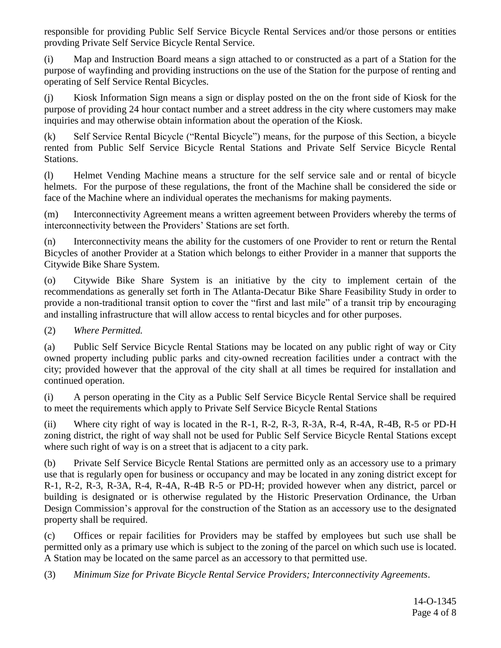responsible for providing Public Self Service Bicycle Rental Services and/or those persons or entities provding Private Self Service Bicycle Rental Service.

(i) Map and Instruction Board means a sign attached to or constructed as a part of a Station for the purpose of wayfinding and providing instructions on the use of the Station for the purpose of renting and operating of Self Service Rental Bicycles.

(i) Kiosk Information Sign means a sign or display posted on the on the front side of Kiosk for the purpose of providing 24 hour contact number and a street address in the city where customers may make inquiries and may otherwise obtain information about the operation of the Kiosk.

(k) Self Service Rental Bicycle ("Rental Bicycle") means, for the purpose of this Section, a bicycle rented from Public Self Service Bicycle Rental Stations and Private Self Service Bicycle Rental Stations.

(l) Helmet Vending Machine means a structure for the self service sale and or rental of bicycle helmets. For the purpose of these regulations, the front of the Machine shall be considered the side or face of the Machine where an individual operates the mechanisms for making payments.

(m) Interconnectivity Agreement means a written agreement between Providers whereby the terms of interconnectivity between the Providers' Stations are set forth.

(n) Interconnectivity means the ability for the customers of one Provider to rent or return the Rental Bicycles of another Provider at a Station which belongs to either Provider in a manner that supports the Citywide Bike Share System.

(o) Citywide Bike Share System is an initiative by the city to implement certain of the recommendations as generally set forth in The Atlanta-Decatur Bike Share Feasibility Study in order to provide a non-traditional transit option to cover the "first and last mile" of a transit trip by encouraging and installing infrastructure that will allow access to rental bicycles and for other purposes.

(2) *Where Permitted.*

(a) Public Self Service Bicycle Rental Stations may be located on any public right of way or City owned property including public parks and city-owned recreation facilities under a contract with the city; provided however that the approval of the city shall at all times be required for installation and continued operation.

(i) A person operating in the City as a Public Self Service Bicycle Rental Service shall be required to meet the requirements which apply to Private Self Service Bicycle Rental Stations

(ii) Where city right of way is located in the R-1, R-2, R-3, R-3A, R-4, R-4A, R-4B, R-5 or PD-H zoning district, the right of way shall not be used for Public Self Service Bicycle Rental Stations except where such right of way is on a street that is adjacent to a city park.

(b) Private Self Service Bicycle Rental Stations are permitted only as an accessory use to a primary use that is regularly open for business or occupancy and may be located in any zoning district except for R-1, R-2, R-3, R-3A, R-4, R-4A, R-4B R-5 or PD-H; provided however when any district, parcel or building is designated or is otherwise regulated by the Historic Preservation Ordinance, the Urban Design Commission's approval for the construction of the Station as an accessory use to the designated property shall be required.

(c) Offices or repair facilities for Providers may be staffed by employees but such use shall be permitted only as a primary use which is subject to the zoning of the parcel on which such use is located. A Station may be located on the same parcel as an accessory to that permitted use.

(3) *Minimum Size for Private Bicycle Rental Service Providers; Interconnectivity Agreements*.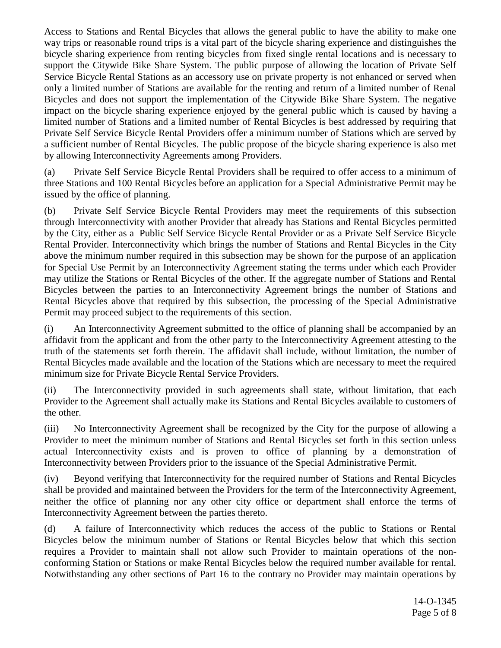Access to Stations and Rental Bicycles that allows the general public to have the ability to make one way trips or reasonable round trips is a vital part of the bicycle sharing experience and distinguishes the bicycle sharing experience from renting bicycles from fixed single rental locations and is necessary to support the Citywide Bike Share System. The public purpose of allowing the location of Private Self Service Bicycle Rental Stations as an accessory use on private property is not enhanced or served when only a limited number of Stations are available for the renting and return of a limited number of Renal Bicycles and does not support the implementation of the Citywide Bike Share System. The negative impact on the bicycle sharing experience enjoyed by the general public which is caused by having a limited number of Stations and a limited number of Rental Bicycles is best addressed by requiring that Private Self Service Bicycle Rental Providers offer a minimum number of Stations which are served by a sufficient number of Rental Bicycles. The public propose of the bicycle sharing experience is also met by allowing Interconnectivity Agreements among Providers.

(a) Private Self Service Bicycle Rental Providers shall be required to offer access to a minimum of three Stations and 100 Rental Bicycles before an application for a Special Administrative Permit may be issued by the office of planning.

(b) Private Self Service Bicycle Rental Providers may meet the requirements of this subsection through Interconnectivity with another Provider that already has Stations and Rental Bicycles permitted by the City, either as a Public Self Service Bicycle Rental Provider or as a Private Self Service Bicycle Rental Provider. Interconnectivity which brings the number of Stations and Rental Bicycles in the City above the minimum number required in this subsection may be shown for the purpose of an application for Special Use Permit by an Interconnectivity Agreement stating the terms under which each Provider may utilize the Stations or Rental Bicycles of the other. If the aggregate number of Stations and Rental Bicycles between the parties to an Interconnectivity Agreement brings the number of Stations and Rental Bicycles above that required by this subsection, the processing of the Special Administrative Permit may proceed subject to the requirements of this section.

(i) An Interconnectivity Agreement submitted to the office of planning shall be accompanied by an affidavit from the applicant and from the other party to the Interconnectivity Agreement attesting to the truth of the statements set forth therein. The affidavit shall include, without limitation, the number of Rental Bicycles made available and the location of the Stations which are necessary to meet the required minimum size for Private Bicycle Rental Service Providers.

(ii) The Interconnectivity provided in such agreements shall state, without limitation, that each Provider to the Agreement shall actually make its Stations and Rental Bicycles available to customers of the other.

(iii) No Interconnectivity Agreement shall be recognized by the City for the purpose of allowing a Provider to meet the minimum number of Stations and Rental Bicycles set forth in this section unless actual Interconnectivity exists and is proven to office of planning by a demonstration of Interconnectivity between Providers prior to the issuance of the Special Administrative Permit.

(iv) Beyond verifying that Interconnectivity for the required number of Stations and Rental Bicycles shall be provided and maintained between the Providers for the term of the Interconnectivity Agreement, neither the office of planning nor any other city office or department shall enforce the terms of Interconnectivity Agreement between the parties thereto.

(d) A failure of Interconnectivity which reduces the access of the public to Stations or Rental Bicycles below the minimum number of Stations or Rental Bicycles below that which this section requires a Provider to maintain shall not allow such Provider to maintain operations of the nonconforming Station or Stations or make Rental Bicycles below the required number available for rental. Notwithstanding any other sections of Part 16 to the contrary no Provider may maintain operations by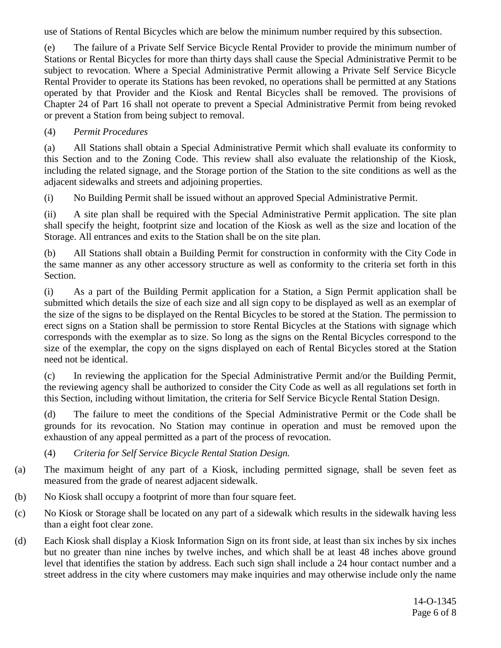use of Stations of Rental Bicycles which are below the minimum number required by this subsection.

(e) The failure of a Private Self Service Bicycle Rental Provider to provide the minimum number of Stations or Rental Bicycles for more than thirty days shall cause the Special Administrative Permit to be subject to revocation. Where a Special Administrative Permit allowing a Private Self Service Bicycle Rental Provider to operate its Stations has been revoked, no operations shall be permitted at any Stations operated by that Provider and the Kiosk and Rental Bicycles shall be removed. The provisions of Chapter 24 of Part 16 shall not operate to prevent a Special Administrative Permit from being revoked or prevent a Station from being subject to removal.

# (4) *Permit Procedures*

(a) All Stations shall obtain a Special Administrative Permit which shall evaluate its conformity to this Section and to the Zoning Code. This review shall also evaluate the relationship of the Kiosk, including the related signage, and the Storage portion of the Station to the site conditions as well as the adjacent sidewalks and streets and adjoining properties.

(i) No Building Permit shall be issued without an approved Special Administrative Permit.

(ii) A site plan shall be required with the Special Administrative Permit application. The site plan shall specify the height, footprint size and location of the Kiosk as well as the size and location of the Storage. All entrances and exits to the Station shall be on the site plan.

(b) All Stations shall obtain a Building Permit for construction in conformity with the City Code in the same manner as any other accessory structure as well as conformity to the criteria set forth in this Section.

(i) As a part of the Building Permit application for a Station, a Sign Permit application shall be submitted which details the size of each size and all sign copy to be displayed as well as an exemplar of the size of the signs to be displayed on the Rental Bicycles to be stored at the Station. The permission to erect signs on a Station shall be permission to store Rental Bicycles at the Stations with signage which corresponds with the exemplar as to size. So long as the signs on the Rental Bicycles correspond to the size of the exemplar, the copy on the signs displayed on each of Rental Bicycles stored at the Station need not be identical.

(c) In reviewing the application for the Special Administrative Permit and/or the Building Permit, the reviewing agency shall be authorized to consider the City Code as well as all regulations set forth in this Section, including without limitation, the criteria for Self Service Bicycle Rental Station Design.

(d) The failure to meet the conditions of the Special Administrative Permit or the Code shall be grounds for its revocation. No Station may continue in operation and must be removed upon the exhaustion of any appeal permitted as a part of the process of revocation.

# (4) *Criteria for Self Service Bicycle Rental Station Design.*

- (a) The maximum height of any part of a Kiosk, including permitted signage, shall be seven feet as measured from the grade of nearest adjacent sidewalk.
- (b) No Kiosk shall occupy a footprint of more than four square feet.
- (c) No Kiosk or Storage shall be located on any part of a sidewalk which results in the sidewalk having less than a eight foot clear zone.
- (d) Each Kiosk shall display a Kiosk Information Sign on its front side, at least than six inches by six inches but no greater than nine inches by twelve inches, and which shall be at least 48 inches above ground level that identifies the station by address. Each such sign shall include a 24 hour contact number and a street address in the city where customers may make inquiries and may otherwise include only the name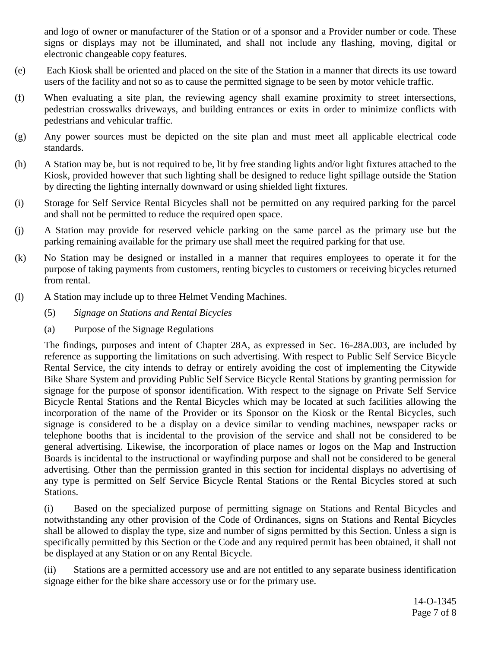and logo of owner or manufacturer of the Station or of a sponsor and a Provider number or code. These signs or displays may not be illuminated, and shall not include any flashing, moving, digital or electronic changeable copy features.

- (e) Each Kiosk shall be oriented and placed on the site of the Station in a manner that directs its use toward users of the facility and not so as to cause the permitted signage to be seen by motor vehicle traffic.
- (f) When evaluating a site plan, the reviewing agency shall examine proximity to street intersections, pedestrian crosswalks driveways, and building entrances or exits in order to minimize conflicts with pedestrians and vehicular traffic.
- (g) Any power sources must be depicted on the site plan and must meet all applicable electrical code standards.
- (h) A Station may be, but is not required to be, lit by free standing lights and/or light fixtures attached to the Kiosk, provided however that such lighting shall be designed to reduce light spillage outside the Station by directing the lighting internally downward or using shielded light fixtures.
- (i) Storage for Self Service Rental Bicycles shall not be permitted on any required parking for the parcel and shall not be permitted to reduce the required open space.
- (j) A Station may provide for reserved vehicle parking on the same parcel as the primary use but the parking remaining available for the primary use shall meet the required parking for that use.
- (k) No Station may be designed or installed in a manner that requires employees to operate it for the purpose of taking payments from customers, renting bicycles to customers or receiving bicycles returned from rental.
- (l) A Station may include up to three Helmet Vending Machines.
	- (5) *Signage on Stations and Rental Bicycles*
	- (a) Purpose of the Signage Regulations

The findings, purposes and intent of Chapter 28A, as expressed in Sec. 16-28A.003, are included by reference as supporting the limitations on such advertising. With respect to Public Self Service Bicycle Rental Service, the city intends to defray or entirely avoiding the cost of implementing the Citywide Bike Share System and providing Public Self Service Bicycle Rental Stations by granting permission for signage for the purpose of sponsor identification. With respect to the signage on Private Self Service Bicycle Rental Stations and the Rental Bicycles which may be located at such facilities allowing the incorporation of the name of the Provider or its Sponsor on the Kiosk or the Rental Bicycles, such signage is considered to be a display on a device similar to vending machines, newspaper racks or telephone booths that is incidental to the provision of the service and shall not be considered to be general advertising. Likewise, the incorporation of place names or logos on the Map and Instruction Boards is incidental to the instructional or wayfinding purpose and shall not be considered to be general advertising. Other than the permission granted in this section for incidental displays no advertising of any type is permitted on Self Service Bicycle Rental Stations or the Rental Bicycles stored at such Stations.

(i) Based on the specialized purpose of permitting signage on Stations and Rental Bicycles and notwithstanding any other provision of the Code of Ordinances, signs on Stations and Rental Bicycles shall be allowed to display the type, size and number of signs permitted by this Section. Unless a sign is specifically permitted by this Section or the Code and any required permit has been obtained, it shall not be displayed at any Station or on any Rental Bicycle.

(ii) Stations are a permitted accessory use and are not entitled to any separate business identification signage either for the bike share accessory use or for the primary use.